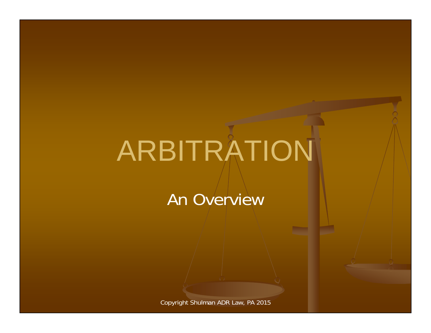# ARBITRATION

An Overview

Copyright Shulman ADR Law, PA 2015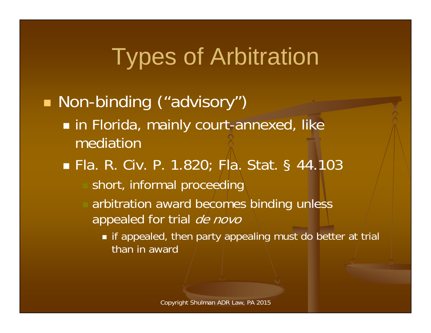## Types of Arbitration

#### ■ Non-binding ("advisory") in Florida, mainly court-annexed, like mediation■ Fla. R. Civ. P. 1.820; Fla. Stat. § 44.103 short, informal proceeding arbitration award becomes binding unless appealed for trial de novo

 $\blacksquare$  if appealed, then party appealing must do better at trial than in award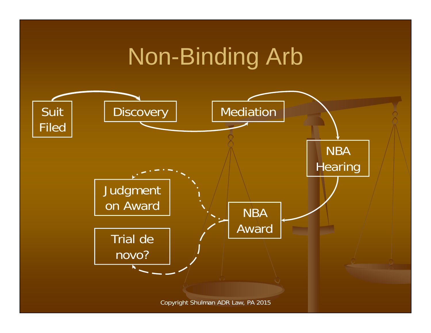## Non-Binding Arb

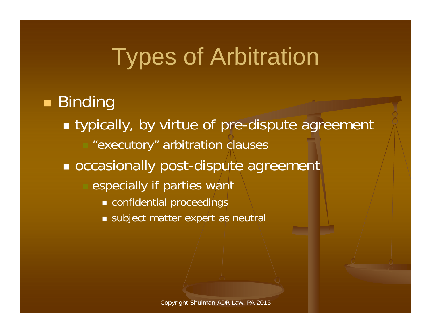#### Types of Arbitration

#### ■ Binding ■ typically, by virtue of pre-dispute agreement

- "executory" arbitration clauses
- occasionally post-dispute agreement
	- especially if parties want
		- confidential proceedings
		- subject matter expert as neutral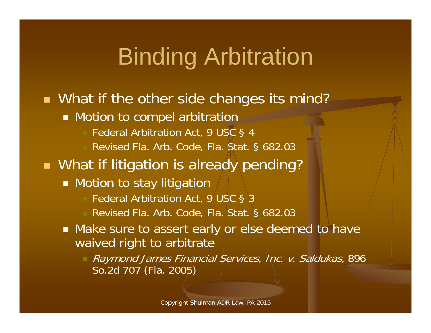# **Binding Arbitration**

■ What if the other side changes its mind? **Notion to compel arbitration**  Federal Arbitration Act, 9 USC § 4 Revised Fla. Arb. Code, Fla. Stat. § 682.03 **Nhat if litigation is already pending?** ■ Motion to stay litigation Federal Arbitration Act, 9/USC § 3 Revised Fla. Arb. Code, Fla. Stat. § 682.03  $\blacksquare$  Make sure to assert early or else deemed to have/ waived right to arbitrate Raymond James Financial Services, Inc. v. Saldukas, 896 So.2d 707 (Fla. 2005)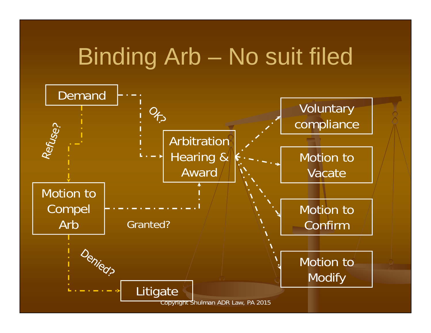## Binding Arb – No suit filed

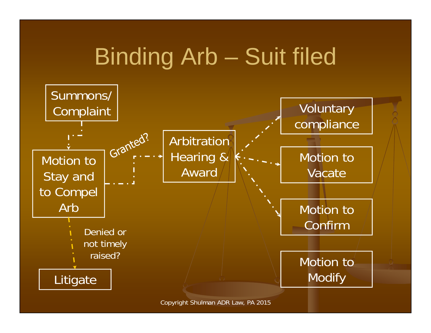# Binding Arb – Suit filed



Copyright Shulman ADR Law, PA 2015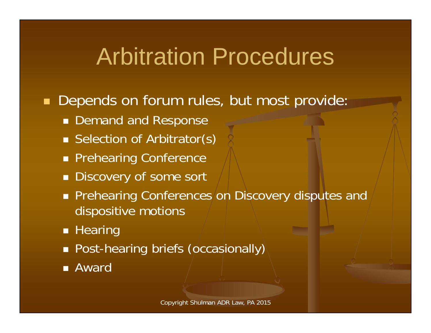#### Arbitration Procedures

#### $\blacksquare$ Depends on forum rules, but most provide:

- **Demand and Response**
- Selection of Arbitrator(s)
- **Prehearing Conference**
- **Discovery of some sort**
- **Prehearing Conferences/on Discovery disputes and** dispositive motions
- **Hearing**
- **Post-hearing briefs (occasionally)**
- Award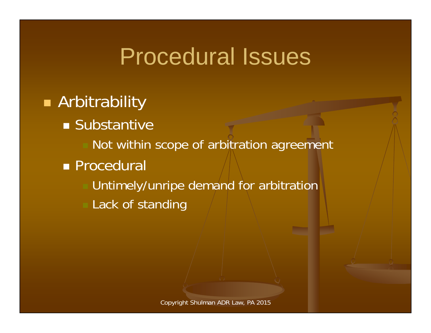#### Procedural Issues

#### **Arbitrability**

- **Substantive** 
	- Not within scope of arbitration agreement
- **Procedural** 
	- Untimely/unripe demand for arbitration
	- Lack of standing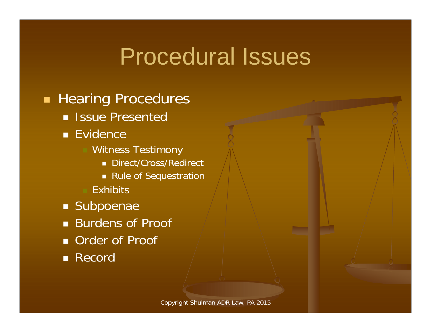#### Procedural Issues

#### **Hearing Procedures**

- **B** Issue Presented
- Evidence
	- Witness Testimony
		- Direct/Cross/Redirect
		- Rule of Sequestration
	- **Exhibits**
- **Subpoenae**
- Burdens of Proof
- **Order of Proof**
- Record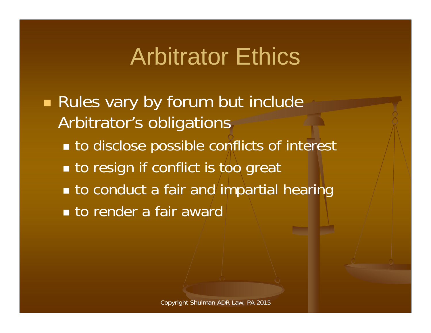#### Arbitrator Ethics

**Rules vary by forum but include** Arbitrator's obligations ■ to disclose possible conflicts of interest **to resign if conflict is too great to conduct a fair and impartial hearing to render a fair award**